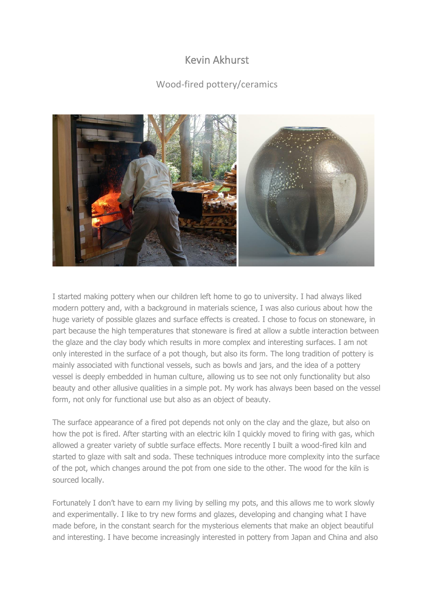## Kevin Akhurst

## Wood-fired pottery/ceramics



I started making pottery when our children left home to go to university. I had always liked modern pottery and, with a background in materials science, I was also curious about how the huge variety of possible glazes and surface effects is created. I chose to focus on stoneware, in part because the high temperatures that stoneware is fired at allow a subtle interaction between the glaze and the clay body which results in more complex and interesting surfaces. I am not only interested in the surface of a pot though, but also its form. The long tradition of pottery is mainly associated with functional vessels, such as bowls and jars, and the idea of a pottery vessel is deeply embedded in human culture, allowing us to see not only functionality but also beauty and other allusive qualities in a simple pot. My work has always been based on the vessel form, not only for functional use but also as an object of beauty.

The surface appearance of a fired pot depends not only on the clay and the glaze, but also on how the pot is fired. After starting with an electric kiln I quickly moved to firing with gas, which allowed a greater variety of subtle surface effects. More recently I built a wood-fired kiln and started to glaze with salt and soda. These techniques introduce more complexity into the surface of the pot, which changes around the pot from one side to the other. The wood for the kiln is sourced locally.

Fortunately I don't have to earn my living by selling my pots, and this allows me to work slowly and experimentally. I like to try new forms and glazes, developing and changing what I have made before, in the constant search for the mysterious elements that make an object beautiful and interesting. I have become increasingly interested in pottery from Japan and China and also